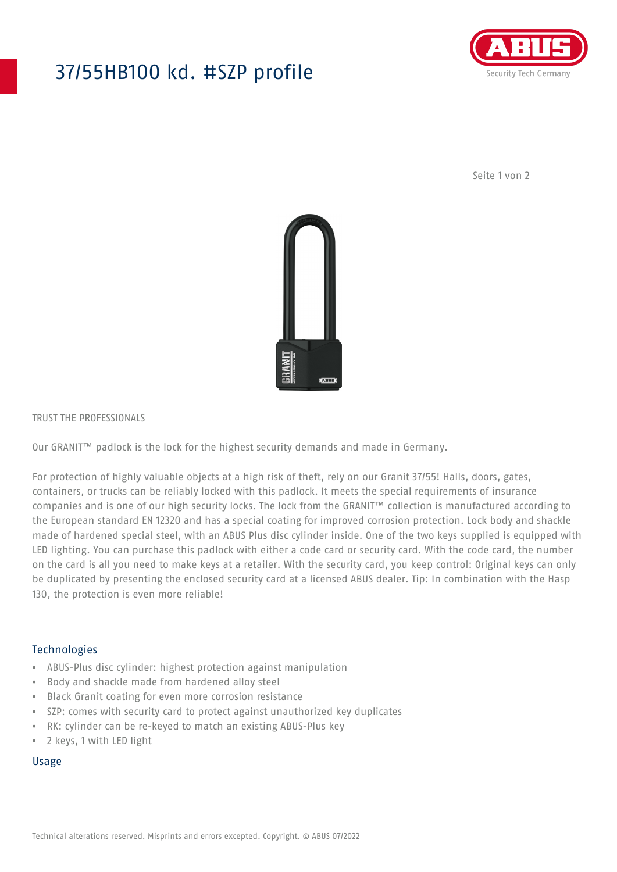## 37/55HB100 kd. #SZP profile



Seite 1 von 2



#### TRUST THE PROFESSIONALS

Our GRANIT™ padlock is the lock for the highest security demands and made in Germany.

For protection of highly valuable objects at a high risk of theft, rely on our Granit 37/55! Halls, doors, gates, containers, or trucks can be reliably locked with this padlock. It meets the special requirements of insurance companies and is one of our high security locks. The lock from the GRANIT™ collection is manufactured according to the European standard EN 12320 and has a special coating for improved corrosion protection. Lock body and shackle made of hardened special steel, with an ABUS Plus disc cylinder inside. One of the two keys supplied is equipped with LED lighting. You can purchase this padlock with either a code card or security card. With the code card, the number on the card is all you need to make keys at a retailer. With the security card, you keep control: Original keys can only be duplicated by presenting the enclosed security card at a licensed ABUS dealer. Tip: In combination with the Hasp 130, the protection is even more reliable!

### Technologies

- ABUS-Plus disc cylinder: highest protection against manipulation
- Body and shackle made from hardened alloy steel
- Black Granit coating for even more corrosion resistance
- SZP: comes with security card to protect against unauthorized key duplicates
- RK: cylinder can be re-keyed to match an existing ABUS-Plus key
- 2 keys, 1 with LED light

#### Usage